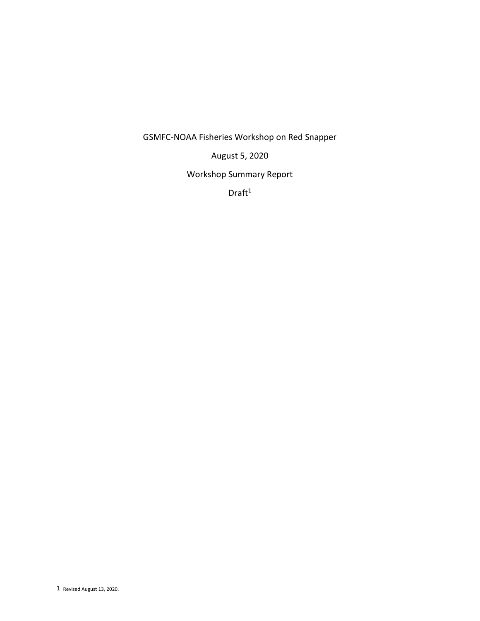GSMFC-NOAA Fisheries Workshop on Red Snapper

August 5, 2020

Workshop Summary Report

 $Draft<sup>1</sup>$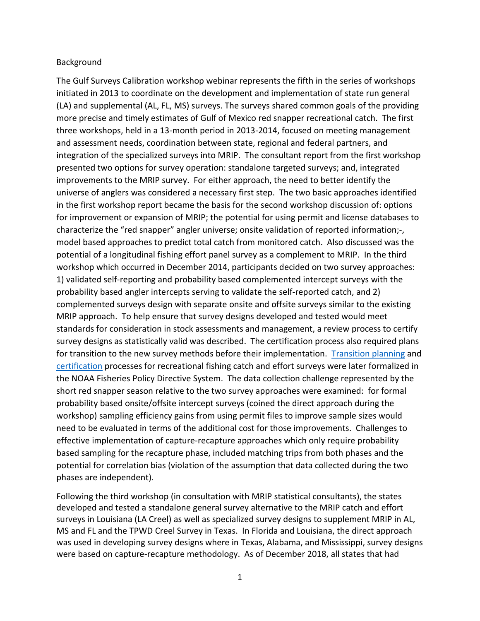#### Background

The Gulf Surveys Calibration workshop webinar represents the fifth in the series of workshops initiated in 2013 to coordinate on the development and implementation of state run general (LA) and supplemental (AL, FL, MS) surveys. The surveys shared common goals of the providing more precise and timely estimates of Gulf of Mexico red snapper recreational catch. The first three workshops, held in a 13-month period in 2013-2014, focused on meeting management and assessment needs, coordination between state, regional and federal partners, and integration of the specialized surveys into MRIP. The consultant report from the first workshop presented two options for survey operation: standalone targeted surveys; and, integrated improvements to the MRIP survey. For either approach, the need to better identify the universe of anglers was considered a necessary first step. The two basic approaches identified in the first workshop report became the basis for the second workshop discussion of: options for improvement or expansion of MRIP; the potential for using permit and license databases to characterize the "red snapper" angler universe; onsite validation of reported information;-, model based approaches to predict total catch from monitored catch. Also discussed was the potential of a longitudinal fishing effort panel survey as a complement to MRIP. In the third workshop which occurred in December 2014, participants decided on two survey approaches: 1) validated self-reporting and probability based complemented intercept surveys with the probability based angler intercepts serving to validate the self-reported catch, and 2) complemented surveys design with separate onsite and offsite surveys similar to the existing MRIP approach. To help ensure that survey designs developed and tested would meet standards for consideration in stock assessments and management, a review process to certify survey designs as statistically valid was described. The certification process also required plans for transition to the new survey methods before their implementation. [Transition planning](https://www.fisheries.noaa.gov/webdam/download/64689259) and [certification](https://www.fisheries.noaa.gov/webdam/download/96469514) processes for recreational fishing catch and effort surveys were later formalized in the NOAA Fisheries Policy Directive System. The data collection challenge represented by the short red snapper season relative to the two survey approaches were examined: for formal probability based onsite/offsite intercept surveys (coined the direct approach during the workshop) sampling efficiency gains from using permit files to improve sample sizes would need to be evaluated in terms of the additional cost for those improvements. Challenges to effective implementation of capture-recapture approaches which only require probability based sampling for the recapture phase, included matching trips from both phases and the potential for correlation bias (violation of the assumption that data collected during the two phases are independent).

Following the third workshop (in consultation with MRIP statistical consultants), the states developed and tested a standalone general survey alternative to the MRIP catch and effort surveys in Louisiana (LA Creel) as well as specialized survey designs to supplement MRIP in AL, MS and FL and the TPWD Creel Survey in Texas. In Florida and Louisiana, the direct approach was used in developing survey designs where in Texas, Alabama, and Mississippi, survey designs were based on capture-recapture methodology. As of December 2018, all states that had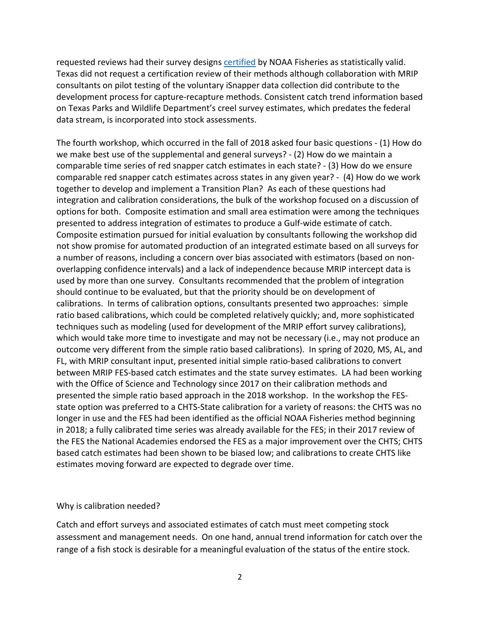requested reviews had their survey designs [certified](https://www.fisheries.noaa.gov/recreational-fishing-data/certified-recreational-fishing-survey-designs) by NOAA Fisheries as statistically valid. Texas did not request a certification review of their methods although collaboration with MRIP consultants on pilot testing of the voluntary iSnapper data collection did contribute to the development process for capture-recapture methods. Consistent catch trend information based on Texas Parks and Wildlife Department's creel survey estimates, which predates the federal data stream, is incorporated into stock assessments.

The fourth workshop, which occurred in the fall of 2018 asked four basic questions - (1) How do we make best use of the supplemental and general surveys? - (2) How do we maintain a comparable time series of red snapper catch estimates in each state? - (3) How do we ensure comparable red snapper catch estimates across states in any given year? - (4) How do we work together to develop and implement a Transition Plan? As each of these questions had integration and calibration considerations, the bulk of the workshop focused on a discussion of options for both. Composite estimation and small area estimation were among the techniques presented to address integration of estimates to produce a Gulf-wide estimate of catch. Composite estimation pursued for initial evaluation by consultants following the workshop did not show promise for automated production of an integrated estimate based on all surveys for a number of reasons, including a concern over bias associated with estimators (based on nonoverlapping confidence intervals) and a lack of independence because MRIP intercept data is used by more than one survey. Consultants recommended that the problem of integration should continue to be evaluated, but that the priority should be on development of calibrations. In terms of calibration options, consultants presented two approaches: simple ratio based calibrations, which could be completed relatively quickly; and, more sophisticated techniques such as modeling (used for development of the MRIP effort survey calibrations), which would take more time to investigate and may not be necessary (i.e., may not produce an outcome very different from the simple ratio based calibrations). In spring of 2020, MS, AL, and FL, with MRIP consultant input, presented initial simple ratio-based calibrations to convert between MRIP FES-based catch estimates and the state survey estimates. LA had been working with the Office of Science and Technology since 2017 on their calibration methods and presented the simple ratio based approach in the 2018 workshop. In the workshop the FESstate option was preferred to a CHTS-State calibration for a variety of reasons: the CHTS was no longer in use and the FES had been identified as the official NOAA Fisheries method beginning in 2018; a fully calibrated time series was already available for the FES; in their 2017 review of the FES the National Academies endorsed the FES as a major improvement over the CHTS; CHTS based catch estimates had been shown to be biased low; and calibrations to create CHTS like estimates moving forward are expected to degrade over time.

#### Why is calibration needed?

Catch and effort surveys and associated estimates of catch must meet competing stock assessment and management needs. On one hand, annual trend information for catch over the range of a fish stock is desirable for a meaningful evaluation of the status of the entire stock.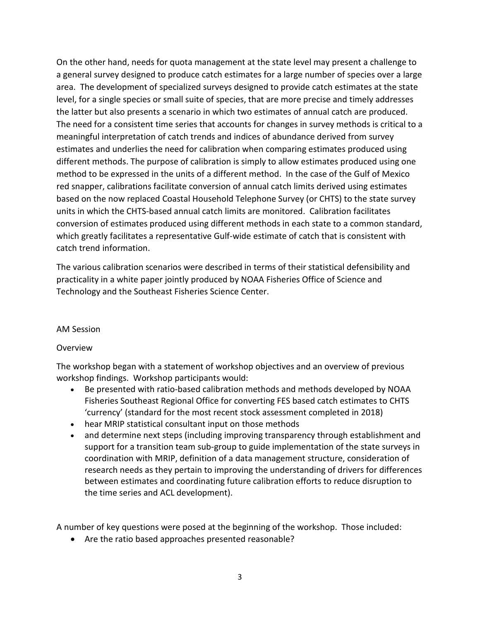On the other hand, needs for quota management at the state level may present a challenge to a general survey designed to produce catch estimates for a large number of species over a large area. The development of specialized surveys designed to provide catch estimates at the state level, for a single species or small suite of species, that are more precise and timely addresses the latter but also presents a scenario in which two estimates of annual catch are produced. The need for a consistent time series that accounts for changes in survey methods is critical to a meaningful interpretation of catch trends and indices of abundance derived from survey estimates and underlies the need for calibration when comparing estimates produced using different methods. The purpose of calibration is simply to allow estimates produced using one method to be expressed in the units of a different method. In the case of the Gulf of Mexico red snapper, calibrations facilitate conversion of annual catch limits derived using estimates based on the now replaced Coastal Household Telephone Survey (or CHTS) to the state survey units in which the CHTS-based annual catch limits are monitored. Calibration facilitates conversion of estimates produced using different methods in each state to a common standard, which greatly facilitates a representative Gulf-wide estimate of catch that is consistent with catch trend information.

The various calibration scenarios were described in terms of their statistical defensibility and practicality in a white paper jointly produced by NOAA Fisheries Office of Science and Technology and the Southeast Fisheries Science Center.

## AM Session

## **Overview**

The workshop began with a statement of workshop objectives and an overview of previous workshop findings. Workshop participants would:

- Be presented with ratio-based calibration methods and methods developed by NOAA Fisheries Southeast Regional Office for converting FES based catch estimates to CHTS 'currency' (standard for the most recent stock assessment completed in 2018)
- hear MRIP statistical consultant input on those methods
- and determine next steps (including improving transparency through establishment and support for a transition team sub-group to guide implementation of the state surveys in coordination with MRIP, definition of a data management structure, consideration of research needs as they pertain to improving the understanding of drivers for differences between estimates and coordinating future calibration efforts to reduce disruption to the time series and ACL development).

A number of key questions were posed at the beginning of the workshop. Those included:

• Are the ratio based approaches presented reasonable?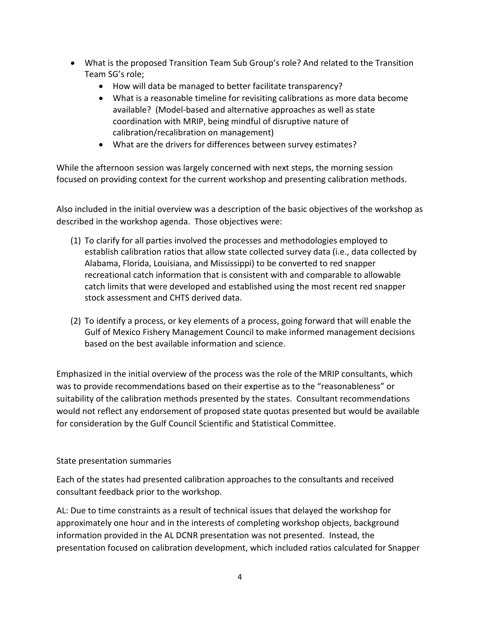- What is the proposed Transition Team Sub Group's role? And related to the Transition Team SG's role;
	- How will data be managed to better facilitate transparency?
	- What is a reasonable timeline for revisiting calibrations as more data become available? (Model-based and alternative approaches as well as state coordination with MRIP, being mindful of disruptive nature of calibration/recalibration on management)
	- What are the drivers for differences between survey estimates?

While the afternoon session was largely concerned with next steps, the morning session focused on providing context for the current workshop and presenting calibration methods.

Also included in the initial overview was a description of the basic objectives of the workshop as described in the workshop agenda. Those objectives were:

- (1) To clarify for all parties involved the processes and methodologies employed to establish calibration ratios that allow state collected survey data (i.e., data collected by Alabama, Florida, Louisiana, and Mississippi) to be converted to red snapper recreational catch information that is consistent with and comparable to allowable catch limits that were developed and established using the most recent red snapper stock assessment and CHTS derived data.
- (2) To identify a process, or key elements of a process, going forward that will enable the Gulf of Mexico Fishery Management Council to make informed management decisions based on the best available information and science.

Emphasized in the initial overview of the process was the role of the MRIP consultants, which was to provide recommendations based on their expertise as to the "reasonableness" or suitability of the calibration methods presented by the states. Consultant recommendations would not reflect any endorsement of proposed state quotas presented but would be available for consideration by the Gulf Council Scientific and Statistical Committee.

# State presentation summaries

Each of the states had presented calibration approaches to the consultants and received consultant feedback prior to the workshop.

AL: Due to time constraints as a result of technical issues that delayed the workshop for approximately one hour and in the interests of completing workshop objects, background information provided in the AL DCNR presentation was not presented. Instead, the presentation focused on calibration development, which included ratios calculated for Snapper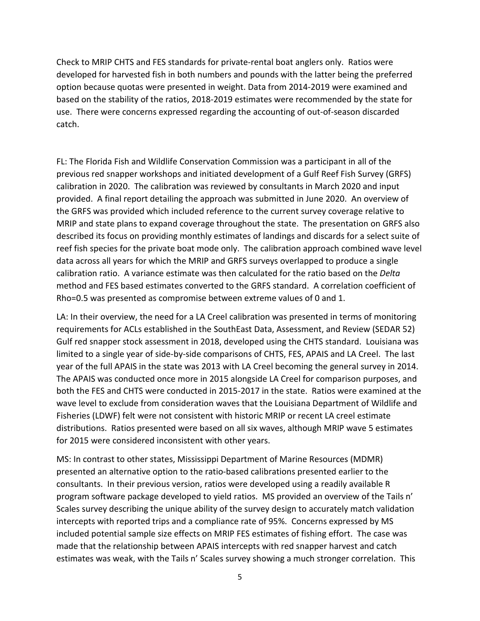Check to MRIP CHTS and FES standards for private-rental boat anglers only. Ratios were developed for harvested fish in both numbers and pounds with the latter being the preferred option because quotas were presented in weight. Data from 2014-2019 were examined and based on the stability of the ratios, 2018-2019 estimates were recommended by the state for use. There were concerns expressed regarding the accounting of out-of-season discarded catch.

FL: The Florida Fish and Wildlife Conservation Commission was a participant in all of the previous red snapper workshops and initiated development of a Gulf Reef Fish Survey (GRFS) calibration in 2020. The calibration was reviewed by consultants in March 2020 and input provided. A final report detailing the approach was submitted in June 2020. An overview of the GRFS was provided which included reference to the current survey coverage relative to MRIP and state plans to expand coverage throughout the state. The presentation on GRFS also described its focus on providing monthly estimates of landings and discards for a select suite of reef fish species for the private boat mode only. The calibration approach combined wave level data across all years for which the MRIP and GRFS surveys overlapped to produce a single calibration ratio. A variance estimate was then calculated for the ratio based on the *Delta* method and FES based estimates converted to the GRFS standard. A correlation coefficient of Rho=0.5 was presented as compromise between extreme values of 0 and 1.

LA: In their overview, the need for a LA Creel calibration was presented in terms of monitoring requirements for ACLs established in the SouthEast Data, Assessment, and Review (SEDAR 52) Gulf red snapper stock assessment in 2018, developed using the CHTS standard. Louisiana was limited to a single year of side-by-side comparisons of CHTS, FES, APAIS and LA Creel. The last year of the full APAIS in the state was 2013 with LA Creel becoming the general survey in 2014. The APAIS was conducted once more in 2015 alongside LA Creel for comparison purposes, and both the FES and CHTS were conducted in 2015-2017 in the state. Ratios were examined at the wave level to exclude from consideration waves that the Louisiana Department of Wildlife and Fisheries (LDWF) felt were not consistent with historic MRIP or recent LA creel estimate distributions. Ratios presented were based on all six waves, although MRIP wave 5 estimates for 2015 were considered inconsistent with other years.

MS: In contrast to other states, Mississippi Department of Marine Resources (MDMR) presented an alternative option to the ratio-based calibrations presented earlier to the consultants. In their previous version, ratios were developed using a readily available R program software package developed to yield ratios. MS provided an overview of the Tails n' Scales survey describing the unique ability of the survey design to accurately match validation intercepts with reported trips and a compliance rate of 95%. Concerns expressed by MS included potential sample size effects on MRIP FES estimates of fishing effort. The case was made that the relationship between APAIS intercepts with red snapper harvest and catch estimates was weak, with the Tails n' Scales survey showing a much stronger correlation. This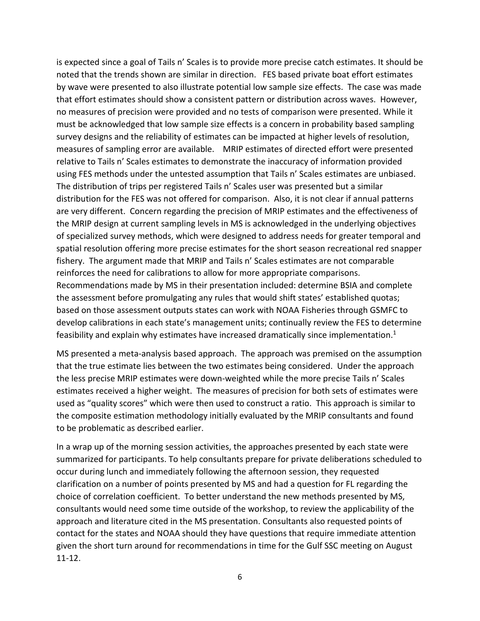is expected since a goal of Tails n' Scales is to provide more precise catch estimates. It should be noted that the trends shown are similar in direction. FES based private boat effort estimates by wave were presented to also illustrate potential low sample size effects. The case was made that effort estimates should show a consistent pattern or distribution across waves. However, no measures of precision were provided and no tests of comparison were presented. While it must be acknowledged that low sample size effects is a concern in probability based sampling survey designs and the reliability of estimates can be impacted at higher levels of resolution, measures of sampling error are available. MRIP estimates of directed effort were presented relative to Tails n' Scales estimates to demonstrate the inaccuracy of information provided using FES methods under the untested assumption that Tails n' Scales estimates are unbiased. The distribution of trips per registered Tails n' Scales user was presented but a similar distribution for the FES was not offered for comparison. Also, it is not clear if annual patterns are very different. Concern regarding the precision of MRIP estimates and the effectiveness of the MRIP design at current sampling levels in MS is acknowledged in the underlying objectives of specialized survey methods, which were designed to address needs for greater temporal and spatial resolution offering more precise estimates for the short season recreational red snapper fishery. The argument made that MRIP and Tails n' Scales estimates are not comparable reinforces the need for calibrations to allow for more appropriate comparisons. Recommendations made by MS in their presentation included: determine BSIA and complete the assessment before promulgating any rules that would shift states' established quotas; based on those assessment outputs states can work with NOAA Fisheries through GSMFC to develop calibrations in each state's management units; continually review the FES to determine feasibility and explain why estimates have increased dramatically since implementation.<sup>1</sup>

MS presented a meta-analysis based approach. The approach was premised on the assumption that the true estimate lies between the two estimates being considered. Under the approach the less precise MRIP estimates were down-weighted while the more precise Tails n' Scales estimates received a higher weight. The measures of precision for both sets of estimates were used as "quality scores" which were then used to construct a ratio. This approach is similar to the composite estimation methodology initially evaluated by the MRIP consultants and found to be problematic as described earlier.

In a wrap up of the morning session activities, the approaches presented by each state were summarized for participants. To help consultants prepare for private deliberations scheduled to occur during lunch and immediately following the afternoon session, they requested clarification on a number of points presented by MS and had a question for FL regarding the choice of correlation coefficient. To better understand the new methods presented by MS, consultants would need some time outside of the workshop, to review the applicability of the approach and literature cited in the MS presentation. Consultants also requested points of contact for the states and NOAA should they have questions that require immediate attention given the short turn around for recommendations in time for the Gulf SSC meeting on August 11-12.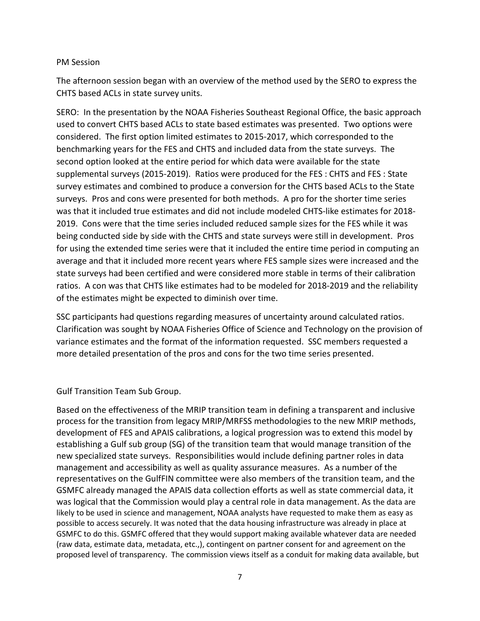#### PM Session

The afternoon session began with an overview of the method used by the SERO to express the CHTS based ACLs in state survey units.

SERO: In the presentation by the NOAA Fisheries Southeast Regional Office, the basic approach used to convert CHTS based ACLs to state based estimates was presented. Two options were considered. The first option limited estimates to 2015-2017, which corresponded to the benchmarking years for the FES and CHTS and included data from the state surveys. The second option looked at the entire period for which data were available for the state supplemental surveys (2015-2019). Ratios were produced for the FES : CHTS and FES : State survey estimates and combined to produce a conversion for the CHTS based ACLs to the State surveys. Pros and cons were presented for both methods. A pro for the shorter time series was that it included true estimates and did not include modeled CHTS-like estimates for 2018- 2019. Cons were that the time series included reduced sample sizes for the FES while it was being conducted side by side with the CHTS and state surveys were still in development. Pros for using the extended time series were that it included the entire time period in computing an average and that it included more recent years where FES sample sizes were increased and the state surveys had been certified and were considered more stable in terms of their calibration ratios. A con was that CHTS like estimates had to be modeled for 2018-2019 and the reliability of the estimates might be expected to diminish over time.

SSC participants had questions regarding measures of uncertainty around calculated ratios. Clarification was sought by NOAA Fisheries Office of Science and Technology on the provision of variance estimates and the format of the information requested. SSC members requested a more detailed presentation of the pros and cons for the two time series presented.

Gulf Transition Team Sub Group.

Based on the effectiveness of the MRIP transition team in defining a transparent and inclusive process for the transition from legacy MRIP/MRFSS methodologies to the new MRIP methods, development of FES and APAIS calibrations, a logical progression was to extend this model by establishing a Gulf sub group (SG) of the transition team that would manage transition of the new specialized state surveys. Responsibilities would include defining partner roles in data management and accessibility as well as quality assurance measures. As a number of the representatives on the GulfFIN committee were also members of the transition team, and the GSMFC already managed the APAIS data collection efforts as well as state commercial data, it was logical that the Commission would play a central role in data management. As the data are likely to be used in science and management, NOAA analysts have requested to make them as easy as possible to access securely. It was noted that the data housing infrastructure was already in place at GSMFC to do this. GSMFC offered that they would support making available whatever data are needed (raw data, estimate data, metadata, etc.,), contingent on partner consent for and agreement on the proposed level of transparency. The commission views itself as a conduit for making data available, but